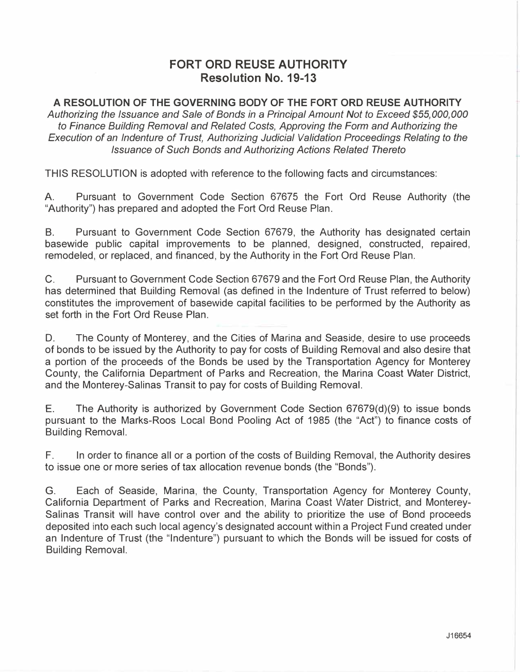## **FORT ORD REUSE AUTHORITY Resolution No. 19-13**

**A RESOLUTION OF THE GOVERNING BODY OF THE FORT ORD REUSE AUTHORITY**  *Authorizing the Issuance and Sale of Bonds in* a *Principal Amount Not to Exceed \$55,000,000 to Finance Building Removal and Related Costs, Approving the Form and Authorizing the Execution of an Indenture of Trust, Authorizing Judicial Validation Proceedings Relating to the Issuance of Such Bonds and Authorizing Actions Related Thereto* 

THIS RESOLUTION is adopted with reference to the following facts and circumstances:

A. Pursuant to Government Code Section 67675 the Fort Ord Reuse Authority (the "Authority") has prepared and adopted the Fort Ord Reuse Plan.

8. Pursuant to Government Code Section 67679, the Authority has designated certain basewide public capital improvements to be planned, designed, constructed, repaired, remodeled, or replaced, and financed, by the Authority in the Fort Ord Reuse Plan.

C. Pursuant to Government Code Section 67679 and the Fort Ord Reuse Plan, the Authority has determined that Building Removal (as defined in the Indenture of Trust referred to below) constitutes the improvement of basewide capital facilities to be performed by the Authority as set forth in the Fort Ord Reuse Plan.

D. The County of Monterey, and the Cities of Marina and Seaside, desire to use proceeds of bonds to be issued by the Authority to pay for costs of Building Removal and also desire that a portion of the proceeds of the Bonds be used by the Transportation Agency for Monterey County, the California Department of Parks and Recreation, the Marina Coast Water District, and the Monterey-Salinas Transit to pay for costs of Building Removal.

E. The Authority is authorized by Government Code Section 67679(d)(9) to issue bonds pursuant to the Marks-Roos Local Bond Pooling Act of 1985 (the "Act") to finance costs of Building Removal.

F. In order to finance all or a portion of the costs of Building Removal, the Authority desires to issue one or more series of tax allocation revenue bonds (the "Bonds").

G. Each of Seaside, Marina, the County, Transportation Agency for Monterey County, California Department of Parks and Recreation, Marina Coast Water District, and Monterey-Salinas Transit will have control over and the ability to prioritize the use of Bond proceeds deposited into each such local agency's designated account within a Project Fund created under an Indenture of Trust (the "Indenture") pursuant to which the Bonds will be issued for costs of Building Removal.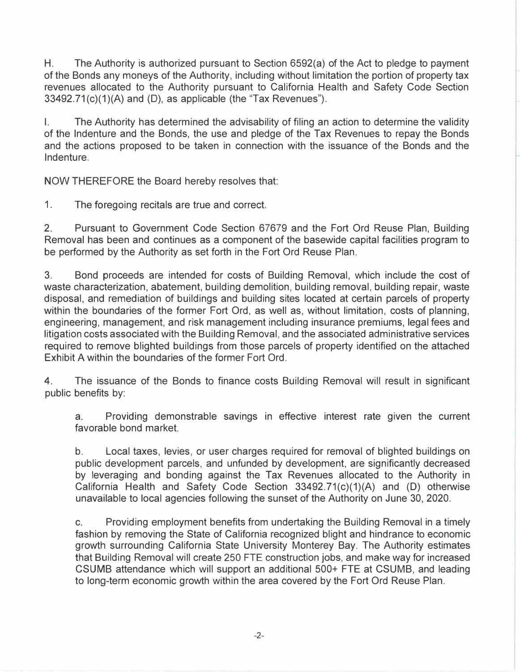H. The Authority is authorized pursuant to Section 6592(a) of the Act to pledge to payment of the Bonds any moneys of the Authority, including without limitation the portion of property tax revenues allocated to the Authority pursuant to California Health and Safety Code Section  $33492.71(c)(1)(A)$  and (D), as applicable (the "Tax Revenues").

I. The Authority has determined the advisability of filing an action to determine the validity of the Indenture and the Bonds, the use and pledge of the Tax Revenues to repay the Bonds and the actions proposed to be taken in connection with the issuance of the Bonds and the Indenture.

NOW THEREFORE the Board hereby resolves that:

1. The foregoing recitals are true and correct.

2. Pursuant to Government Code Section 67679 and the Fort Ord Reuse Plan, Building Removal has been and continues as a component of the basewide capital facilities program to be performed by the Authority as set forth in the Fort Ord Reuse Plan.

3. Bond proceeds are intended for costs of Building Removal, which include the cost of waste characterization, abatement, building demolition, building removal, building repair, waste disposal, and remediation of buildings and building sites located at certain parcels of property within the boundaries of the former Fort Ord, as well as, without limitation, costs of planning, engineering, management, and risk management including insurance premiums, legal fees and litigation costs associated with the Building Removal, and the associated administrative services required to remove blighted buildings from those parcels of property identified on the attached Exhibit A within the boundaries of the former Fort Ord.

4. The issuance of the Bonds to finance costs Building Removal will result in significant public benefits by:

a. Providing demonstrable savings in effective interest rate given the current favorable bond market.

b. Local taxes, levies, or user charges required for removal of blighted buildings on public development parcels, and unfunded by development, are significantly decreased by leveraging and bonding against the Tax Revenues allocated to the Authority in California Health and Safety Code Section  $33492.71(c)(1)(A)$  and (D) otherwise unavailable to local agencies following the sunset of the Authority on June 30, 2020.

c. Providing employment benefits from undertaking the Building Removal in a timely fashion by removing the State of California recognized blight and hindrance to economic growth surrounding California State University Monterey Bay. The Authority estimates that Building Removal will create 250 FTE construction jobs, and make way for increased CSUMB attendance which will support an additional 500+ FTE at CSUMB, and leading to long-term economic growth within the area covered by the Fort Ord Reuse Plan.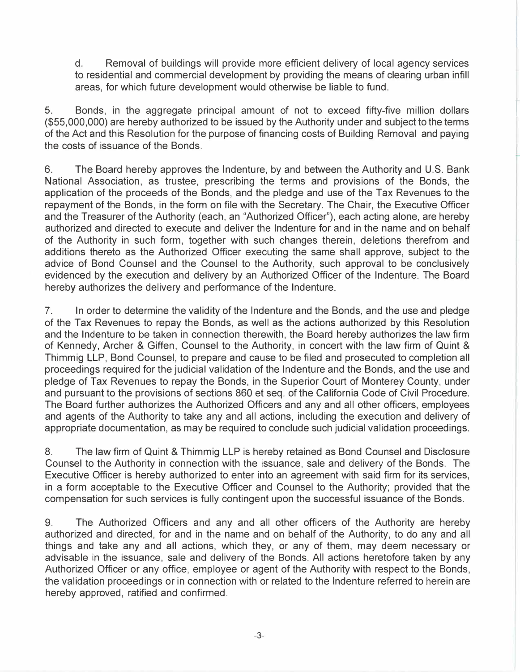d. Removal of buildings will provide more efficient delivery of local agency services to residential and commercial development by providing the means of clearing urban infill areas, for which future development would otherwise be liable to fund.

r

5. Bonds, in the aggregate principal amount of not to exceed fifty-five million dollars (\$55,000,000) are hereby authorized to be issued by the Authority under and subject to the terms of the Act and this Resolution for the purpose of financing costs of Building Removal and paying the costs of issuance of the Bonds.

6. The Board hereby approves the Indenture, by and between the Authority and U.S. Bank National Association, as trustee, prescribing the terms and provisions of the Bonds, the application of the proceeds of the Bonds, and the pledge and use of the Tax Revenues to the repayment of the Bonds, in the form on file with the Secretary. The Chair, the Executive Officer and the Treasurer of the Authority (each, an "Authorized Officer"), each acting alone, are hereby authorized and directed to execute and deliver the Indenture for and in the name and on behalf of the Authority in such form, together with such changes therein, deletions therefrom and additions thereto as the Authorized Officer executing the same shall approve, subject to the advice of Bond Counsel and the Counsel to the Authority, such approval to be conclusively evidenced by the execution and delivery by an Authorized Officer of the Indenture. The Board hereby authorizes the delivery and performance of the Indenture.

7. In order to determine the validity of the Indenture and the Bonds, and the use and pledge of the Tax Revenues to repay the Bonds, as well as the actions authorized by this Resolution and the Indenture to be taken in connection therewith, the Board hereby authorizes the law firm of Kennedy, Archer & Giffen, Counsel to the Authority, in concert with the law firm of Quint & Thimmig LLP, Bond Counsel, to prepare and cause to be filed and prosecuted to completion all proceedings required for the judicial validation of the Indenture and the Bonds, and the use and pledge of Tax Revenues to repay the Bonds, in the Superior Court of Monterey County, under and pursuant to the provisions of sections 860 et seq. of the California Code of Civil Procedure. The Board further authorizes the Authorized Officers and any and all other officers, employees and agents of the Authority to take any and all actions, including the execution and delivery of appropriate documentation, as may be required to conclude such judicial validation proceedings.

8. The law firm of Quint & Thimmig LLP is hereby retained as Bond Counsel and Disclosure Counsel to the Authority in connection with the issuance, sale and delivery of the Bonds. The Executive Officer is hereby authorized to enter into an agreement with said firm for its services, in a form acceptable to the Executive Officer and Counsel to the Authority; provided that the compensation for such services is fully contingent upon the successful issuance of the Bonds.

9. The Authorized Officers and any and all other officers of the Authority are hereby authorized and directed, for and in the name and on behalf of the Authority, to do any and all things and take any and all actions, which they, or any of them, may deem necessary or advisable in the issuance, sale and delivery of the Bonds. All actions heretofore taken by any Authorized Officer or any office, employee or agent of the Authority with respect to the Bonds, the validation proceedings or in connection with or related to the Indenture referred to herein are hereby approved, ratified and confirmed.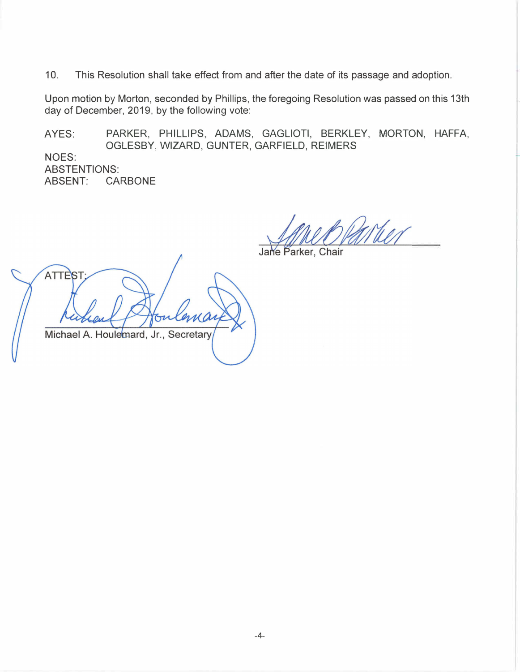10. This Resolution shall take effect from and after the date of its passage and adoption.

Upon motion by Morton, seconded by Phillips, the foregoing Resolution was passed on this 13th day of December, 2019, by the following vote:

AYES: PARKER, PHILLIPS, ADAMS, GAGLIOTI, BERKLEY, MORTON, HAFFA, OGLESBY, WIZARD, GUNTER, GARFIELD, REIMERS

NOES: ABSTENTIONS:<br>ABSENT: CA **CARBONE** 

When

Jane Parker, Chair

**ATTEST** Michael A. Houlemard, Jr., Secretary